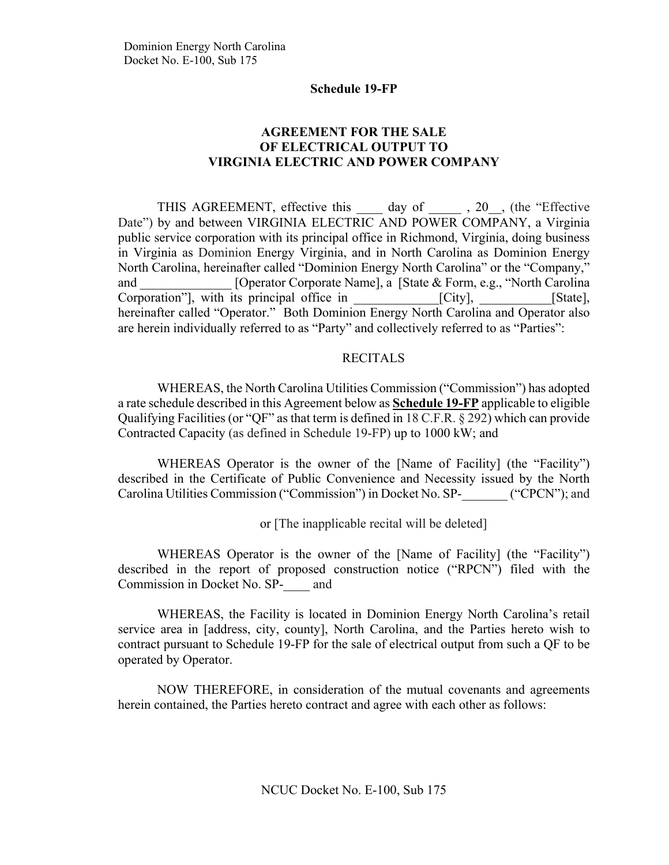## **AGREEMENT FOR THE SALE OF ELECTRICAL OUTPUT TO VIRGINIA ELECTRIC AND POWER COMPANY**

THIS AGREEMENT, effective this day of , 20, the "Effective Date") by and between VIRGINIA ELECTRIC AND POWER COMPANY, a Virginia public service corporation with its principal office in Richmond, Virginia, doing business in Virginia as Dominion Energy Virginia, and in North Carolina as Dominion Energy North Carolina, hereinafter called "Dominion Energy North Carolina" or the "Company," and [Operator Corporate Name], a [State & Form, e.g., "North Carolina" Corporation", with its principal office in [City], [State], hereinafter called "Operator." Both Dominion Energy North Carolina and Operator also are herein individually referred to as "Party" and collectively referred to as "Parties":

#### RECITALS

WHEREAS, the North Carolina Utilities Commission ("Commission") has adopted a rate schedule described in this Agreement below as **Schedule 19-FP** applicable to eligible Qualifying Facilities (or "QF" as that term is defined in 18 C.F.R. § 292) which can provide Contracted Capacity (as defined in Schedule 19-FP) up to 1000 kW; and

WHEREAS Operator is the owner of the [Name of Facility] (the "Facility") described in the Certificate of Public Convenience and Necessity issued by the North Carolina Utilities Commission ("Commission") in Docket No. SP-\_\_\_\_\_\_\_ ("CPCN"); and

or [The inapplicable recital will be deleted]

WHEREAS Operator is the owner of the [Name of Facility] (the "Facility") described in the report of proposed construction notice ("RPCN") filed with the Commission in Docket No. SP-\_\_\_\_ and

WHEREAS, the Facility is located in Dominion Energy North Carolina's retail service area in [address, city, county], North Carolina, and the Parties hereto wish to contract pursuant to Schedule 19-FP for the sale of electrical output from such a QF to be operated by Operator.

NOW THEREFORE, in consideration of the mutual covenants and agreements herein contained, the Parties hereto contract and agree with each other as follows: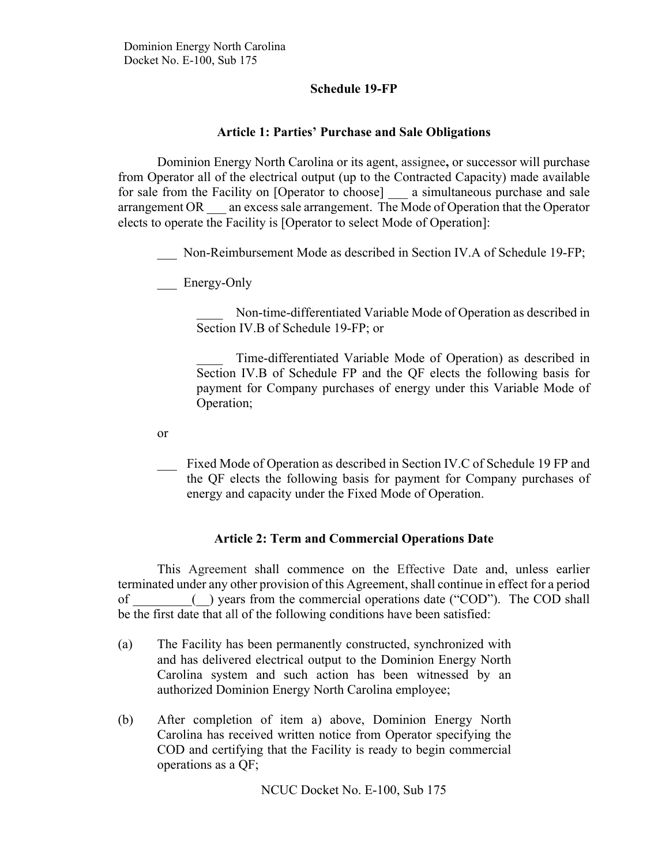## **Article 1: Parties' Purchase and Sale Obligations**

Dominion Energy North Carolina or its agent, assignee**,** or successor will purchase from Operator all of the electrical output (up to the Contracted Capacity) made available for sale from the Facility on [Operator to choose] a simultaneous purchase and sale arrangement OR — an excess sale arrangement. The Mode of Operation that the Operator elects to operate the Facility is [Operator to select Mode of Operation]:

Non-Reimbursement Mode as described in Section IV.A of Schedule 19-FP;

Energy-Only

Non-time-differentiated Variable Mode of Operation as described in Section IV.B of Schedule 19-FP; or

Time-differentiated Variable Mode of Operation) as described in Section IV.B of Schedule FP and the QF elects the following basis for payment for Company purchases of energy under this Variable Mode of Operation;

or

Fixed Mode of Operation as described in Section IV.C of Schedule 19 FP and the QF elects the following basis for payment for Company purchases of energy and capacity under the Fixed Mode of Operation.

## **Article 2: Term and Commercial Operations Date**

This Agreement shall commence on the Effective Date and, unless earlier terminated under any other provision of this Agreement, shall continue in effect for a period of \_\_\_\_\_\_\_\_\_(\_\_) years from the commercial operations date ("COD").The COD shall be the first date that all of the following conditions have been satisfied:

- (a) The Facility has been permanently constructed, synchronized with and has delivered electrical output to the Dominion Energy North Carolina system and such action has been witnessed by an authorized Dominion Energy North Carolina employee;
- (b) After completion of item a) above, Dominion Energy North Carolina has received written notice from Operator specifying the COD and certifying that the Facility is ready to begin commercial operations as a QF;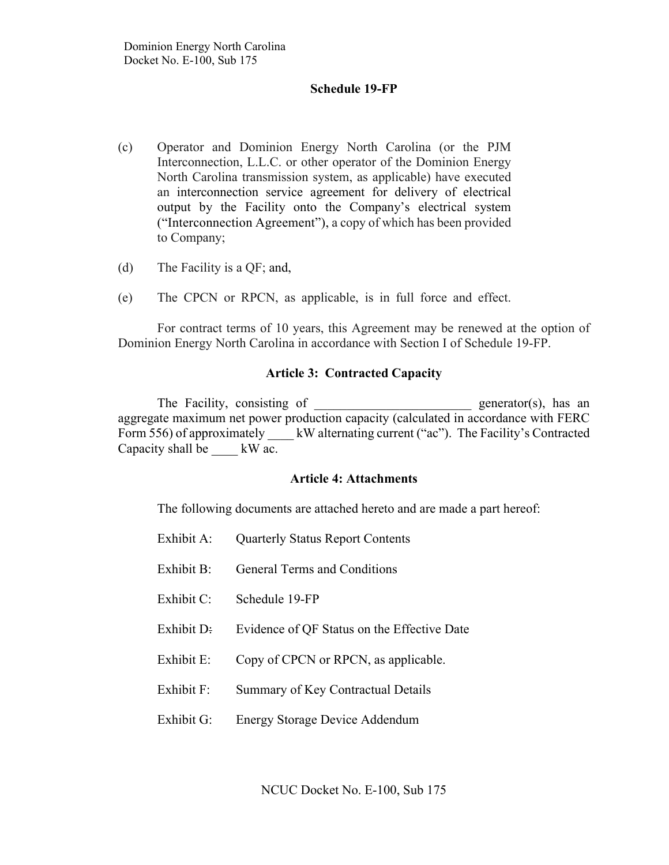- (c) Operator and Dominion Energy North Carolina (or the PJM Interconnection, L.L.C. or other operator of the Dominion Energy North Carolina transmission system, as applicable) have executed an interconnection service agreement for delivery of electrical output by the Facility onto the Company's electrical system ("Interconnection Agreement"), a copy of which has been provided to Company;
- (d) The Facility is a QF; and,
- (e) The CPCN or RPCN, as applicable, is in full force and effect.

For contract terms of 10 years, this Agreement may be renewed at the option of Dominion Energy North Carolina in accordance with Section I of Schedule 19-FP.

#### **Article 3: Contracted Capacity**

The Facility, consisting of \_\_\_\_\_\_\_\_\_\_\_\_\_\_\_\_\_\_\_\_\_\_\_\_\_\_ generator(s), has an aggregate maximum net power production capacity (calculated in accordance with FERC Form 556) of approximately kW alternating current ("ac"). The Facility's Contracted Capacity shall be  $\_\_\_\$  kW ac.

#### **Article 4: Attachments**

The following documents are attached hereto and are made a part hereof:

- Exhibit A: Quarterly Status Report Contents
- Exhibit B: General Terms and Conditions
- Exhibit C: Schedule 19-FP
- Exhibit D: Evidence of QF Status on the Effective Date
- Exhibit E: Copy of CPCN or RPCN, as applicable.
- Exhibit F: Summary of Key Contractual Details
- Exhibit G: Energy Storage Device Addendum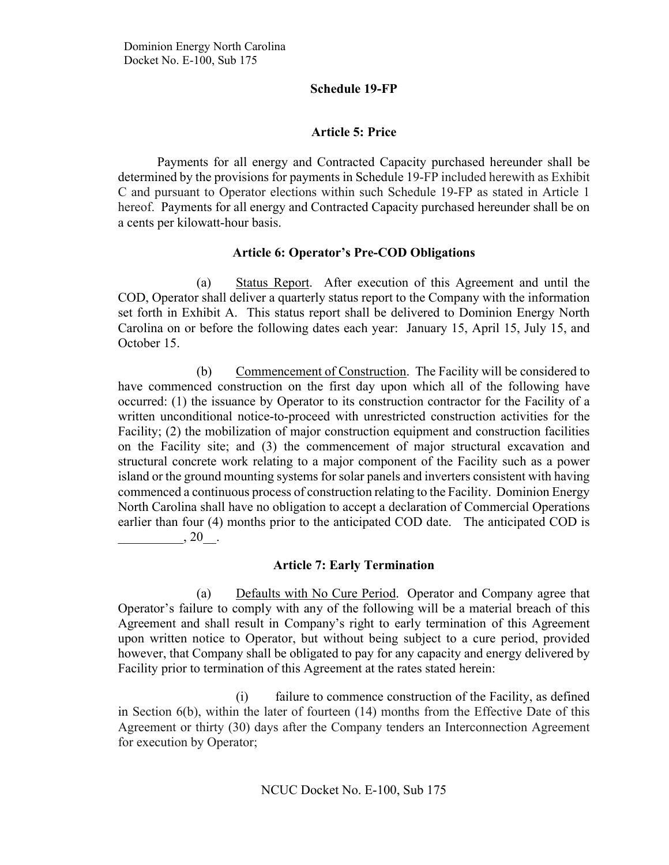## **Article 5: Price**

Payments for all energy and Contracted Capacity purchased hereunder shall be determined by the provisions for payments in Schedule 19-FP included herewith as Exhibit C and pursuant to Operator elections within such Schedule 19-FP as stated in Article 1 hereof. Payments for all energy and Contracted Capacity purchased hereunder shall be on a cents per kilowatt-hour basis.

## **Article 6: Operator's Pre-COD Obligations**

(a) Status Report. After execution of this Agreement and until the COD, Operator shall deliver a quarterly status report to the Company with the information set forth in Exhibit A. This status report shall be delivered to Dominion Energy North Carolina on or before the following dates each year: January 15, April 15, July 15, and October 15.

(b) Commencement of Construction. The Facility will be considered to have commenced construction on the first day upon which all of the following have occurred: (1) the issuance by Operator to its construction contractor for the Facility of a written unconditional notice-to-proceed with unrestricted construction activities for the Facility; (2) the mobilization of major construction equipment and construction facilities on the Facility site; and (3) the commencement of major structural excavation and structural concrete work relating to a major component of the Facility such as a power island or the ground mounting systems for solar panels and inverters consistent with having commenced a continuous process of construction relating to the Facility. Dominion Energy North Carolina shall have no obligation to accept a declaration of Commercial Operations earlier than four (4) months prior to the anticipated COD date. The anticipated COD is  $, 20$ .

# **Article 7: Early Termination**

(a) Defaults with No Cure Period. Operator and Company agree that Operator's failure to comply with any of the following will be a material breach of this Agreement and shall result in Company's right to early termination of this Agreement upon written notice to Operator, but without being subject to a cure period, provided however, that Company shall be obligated to pay for any capacity and energy delivered by Facility prior to termination of this Agreement at the rates stated herein:

(i) failure to commence construction of the Facility, as defined in Section 6(b), within the later of fourteen (14) months from the Effective Date of this Agreement or thirty (30) days after the Company tenders an Interconnection Agreement for execution by Operator;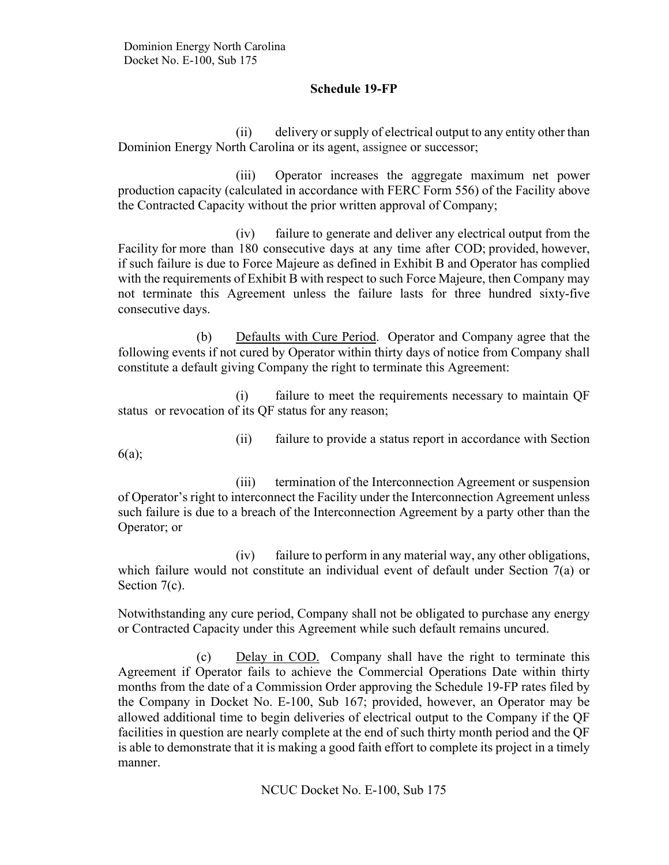(ii) delivery or supply of electrical output to any entity other than Dominion Energy North Carolina or its agent, assignee or successor;

(iii) Operator increases the aggregate maximum net power production capacity (calculated in accordance with FERC Form 556) of the Facility above the Contracted Capacity without the prior written approval of Company;

(iv) failure to generate and deliver any electrical output from the Facility for more than 180 consecutive days at any time after COD; provided, however, if such failure is due to Force Majeure as defined in Exhibit B and Operator has complied with the requirements of Exhibit B with respect to such Force Majeure, then Company may not terminate this Agreement unless the failure lasts for three hundred sixty-five consecutive days.

(b) Defaults with Cure Period. Operator and Company agree that the following events if not cured by Operator within thirty days of notice from Company shall constitute a default giving Company the right to terminate this Agreement:

(i) failure to meet the requirements necessary to maintain QF status or revocation of its QF status for any reason;

6(a);

(ii) failure to provide a status report in accordance with Section

(iii) termination of the Interconnection Agreement or suspension of Operator's right to interconnect the Facility under the Interconnection Agreement unless such failure is due to a breach of the Interconnection Agreement by a party other than the Operator; or

(iv) failure to perform in any material way, any other obligations, which failure would not constitute an individual event of default under Section 7(a) or Section 7(c).

Notwithstanding any cure period, Company shall not be obligated to purchase any energy or Contracted Capacity under this Agreement while such default remains uncured.

(c) Delay in COD. Company shall have the right to terminate this Agreement if Operator fails to achieve the Commercial Operations Date within thirty months from the date of a Commission Order approving the Schedule 19-FP rates filed by the Company in Docket No. E-100, Sub 167; provided, however, an Operator may be allowed additional time to begin deliveries of electrical output to the Company if the QF facilities in question are nearly complete at the end of such thirty month period and the QF is able to demonstrate that it is making a good faith effort to complete its project in a timely manner.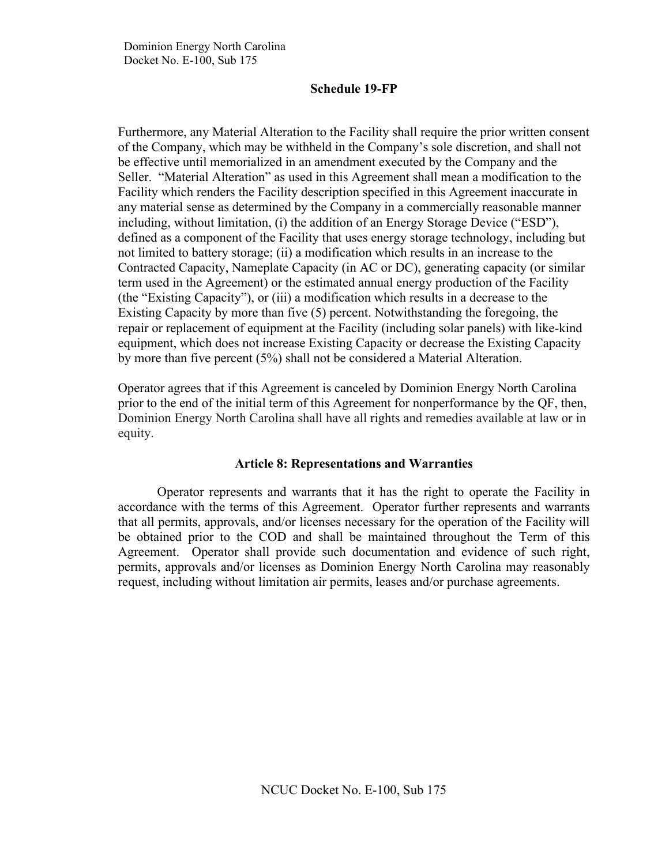Furthermore, any Material Alteration to the Facility shall require the prior written consent of the Company, which may be withheld in the Company's sole discretion, and shall not be effective until memorialized in an amendment executed by the Company and the Seller. "Material Alteration" as used in this Agreement shall mean a modification to the Facility which renders the Facility description specified in this Agreement inaccurate in any material sense as determined by the Company in a commercially reasonable manner including, without limitation, (i) the addition of an Energy Storage Device ("ESD"), defined as a component of the Facility that uses energy storage technology, including but not limited to battery storage; (ii) a modification which results in an increase to the Contracted Capacity, Nameplate Capacity (in AC or DC), generating capacity (or similar term used in the Agreement) or the estimated annual energy production of the Facility (the "Existing Capacity"), or (iii) a modification which results in a decrease to the Existing Capacity by more than five (5) percent. Notwithstanding the foregoing, the repair or replacement of equipment at the Facility (including solar panels) with like-kind equipment, which does not increase Existing Capacity or decrease the Existing Capacity by more than five percent (5%) shall not be considered a Material Alteration.

Operator agrees that if this Agreement is canceled by Dominion Energy North Carolina prior to the end of the initial term of this Agreement for nonperformance by the QF, then, Dominion Energy North Carolina shall have all rights and remedies available at law or in equity.

## **Article 8: Representations and Warranties**

Operator represents and warrants that it has the right to operate the Facility in accordance with the terms of this Agreement. Operator further represents and warrants that all permits, approvals, and/or licenses necessary for the operation of the Facility will be obtained prior to the COD and shall be maintained throughout the Term of this Agreement. Operator shall provide such documentation and evidence of such right, permits, approvals and/or licenses as Dominion Energy North Carolina may reasonably request, including without limitation air permits, leases and/or purchase agreements.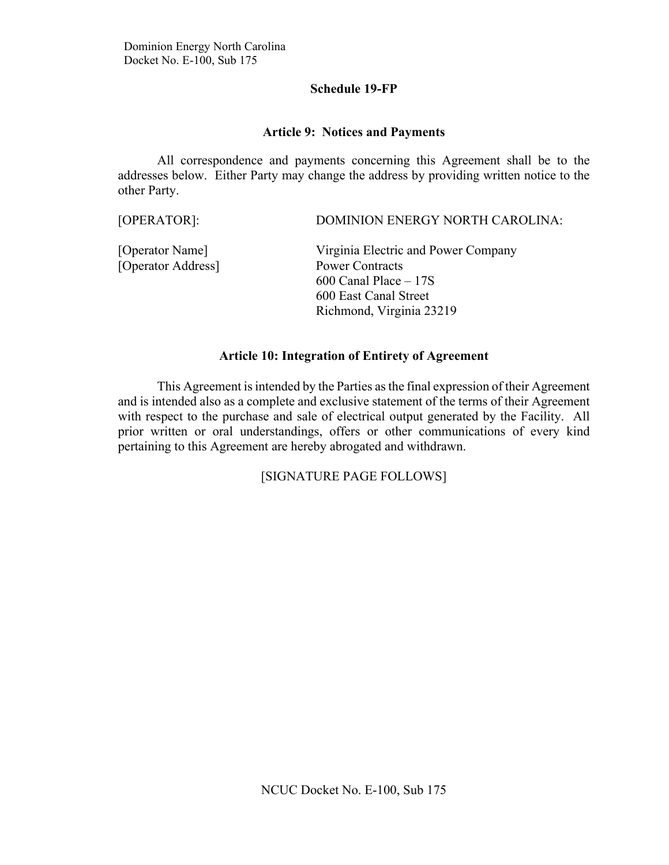### **Article 9: Notices and Payments**

All correspondence and payments concerning this Agreement shall be to the addresses below. Either Party may change the address by providing written notice to the other Party.

| [OPERATOR]: | DOMINION ENERGY NORTH CAROLINA: |
|-------------|---------------------------------|
|             |                                 |

| [Operator Name]    | Virginia Electric and Power Company |
|--------------------|-------------------------------------|
| [Operator Address] | <b>Power Contracts</b>              |
|                    | $600$ Canal Place $-17S$            |
|                    | 600 East Canal Street               |
|                    | Richmond, Virginia 23219            |

## **Article 10: Integration of Entirety of Agreement**

This Agreement is intended by the Parties as the final expression of their Agreement and is intended also as a complete and exclusive statement of the terms of their Agreement with respect to the purchase and sale of electrical output generated by the Facility. All prior written or oral understandings, offers or other communications of every kind pertaining to this Agreement are hereby abrogated and withdrawn.

# [SIGNATURE PAGE FOLLOWS]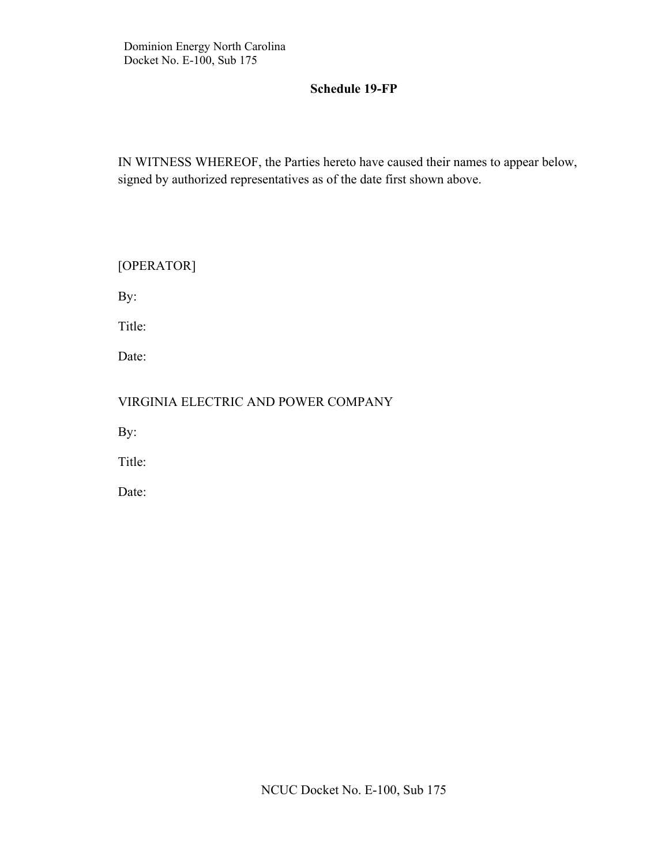IN WITNESS WHEREOF, the Parties hereto have caused their names to appear below, signed by authorized representatives as of the date first shown above.

| [OPERATOR]                          |
|-------------------------------------|
| By:                                 |
| Title:                              |
| Date:                               |
| VIRGINIA ELECTRIC AND POWER COMPANY |
| By:                                 |
| Title:                              |
| Date:                               |
|                                     |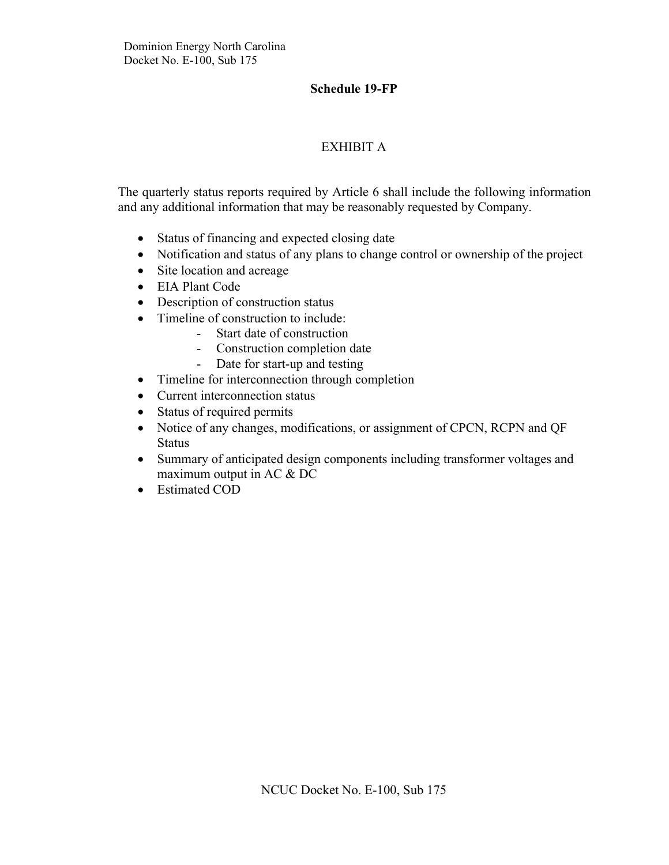# EXHIBIT A

The quarterly status reports required by Article 6 shall include the following information and any additional information that may be reasonably requested by Company.

- Status of financing and expected closing date
- Notification and status of any plans to change control or ownership of the project
- Site location and acreage
- EIA Plant Code
- Description of construction status
- Timeline of construction to include:
	- Start date of construction
	- Construction completion date
	- Date for start-up and testing
- Timeline for interconnection through completion
- Current interconnection status
- Status of required permits
- Notice of any changes, modifications, or assignment of CPCN, RCPN and QF **Status**
- Summary of anticipated design components including transformer voltages and maximum output in AC & DC
- Estimated COD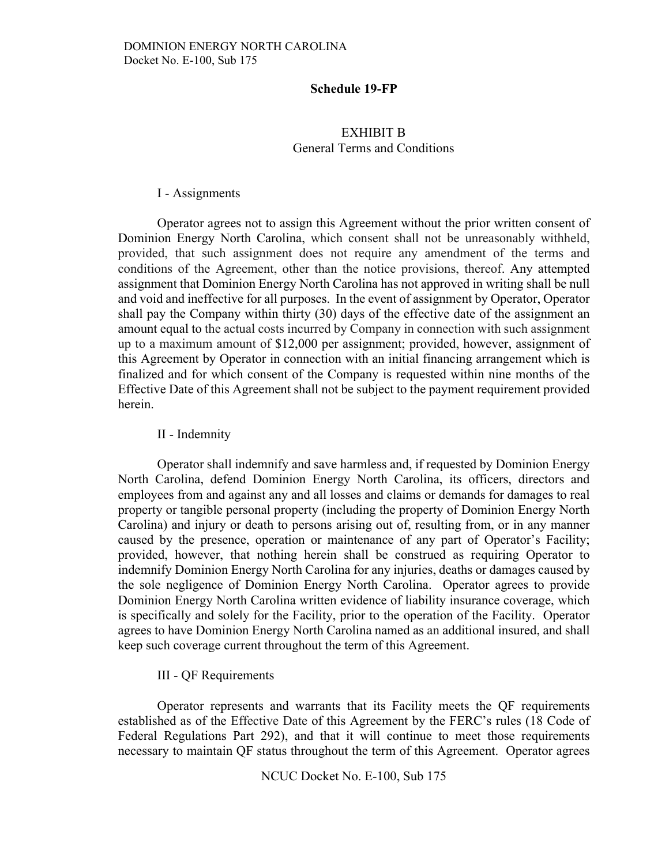## EXHIBIT B General Terms and Conditions

#### I - Assignments

Operator agrees not to assign this Agreement without the prior written consent of Dominion Energy North Carolina, which consent shall not be unreasonably withheld, provided, that such assignment does not require any amendment of the terms and conditions of the Agreement, other than the notice provisions, thereof. Any attempted assignment that Dominion Energy North Carolina has not approved in writing shall be null and void and ineffective for all purposes. In the event of assignment by Operator, Operator shall pay the Company within thirty (30) days of the effective date of the assignment an amount equal to the actual costs incurred by Company in connection with such assignment up to a maximum amount of \$12,000 per assignment; provided, however, assignment of this Agreement by Operator in connection with an initial financing arrangement which is finalized and for which consent of the Company is requested within nine months of the Effective Date of this Agreement shall not be subject to the payment requirement provided herein.

#### II - Indemnity

Operator shall indemnify and save harmless and, if requested by Dominion Energy North Carolina, defend Dominion Energy North Carolina, its officers, directors and employees from and against any and all losses and claims or demands for damages to real property or tangible personal property (including the property of Dominion Energy North Carolina) and injury or death to persons arising out of, resulting from, or in any manner caused by the presence, operation or maintenance of any part of Operator's Facility; provided, however, that nothing herein shall be construed as requiring Operator to indemnify Dominion Energy North Carolina for any injuries, deaths or damages caused by the sole negligence of Dominion Energy North Carolina. Operator agrees to provide Dominion Energy North Carolina written evidence of liability insurance coverage, which is specifically and solely for the Facility, prior to the operation of the Facility. Operator agrees to have Dominion Energy North Carolina named as an additional insured, and shall keep such coverage current throughout the term of this Agreement.

#### III - QF Requirements

Operator represents and warrants that its Facility meets the QF requirements established as of the Effective Date of this Agreement by the FERC's rules (18 Code of Federal Regulations Part 292), and that it will continue to meet those requirements necessary to maintain QF status throughout the term of this Agreement. Operator agrees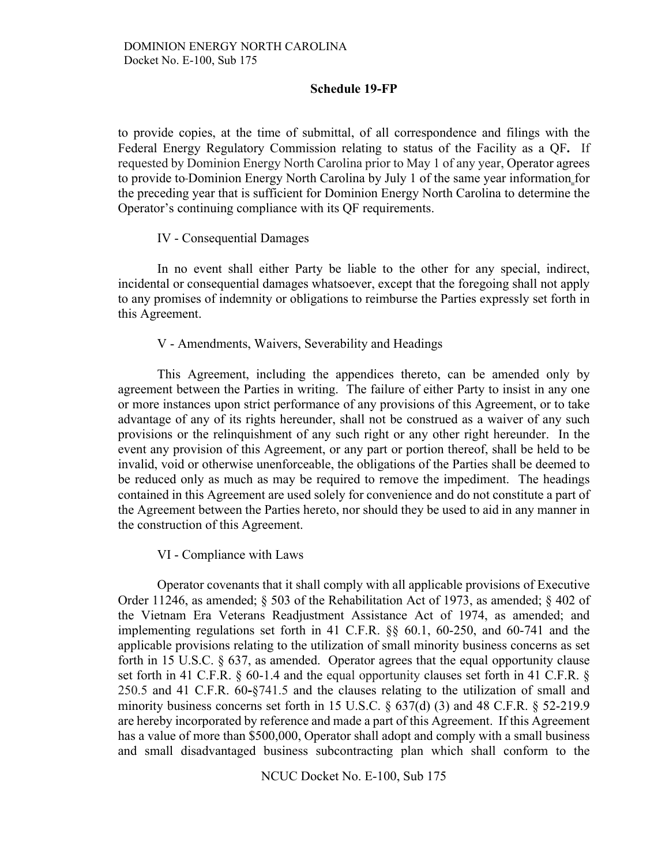to provide copies, at the time of submittal, of all correspondence and filings with the Federal Energy Regulatory Commission relating to status of the Facility as a QF**.** If requested by Dominion Energy North Carolina prior to May 1 of any year, Operator agrees to provide to Dominion Energy North Carolina by July 1 of the same year information for the preceding year that is sufficient for Dominion Energy North Carolina to determine the Operator's continuing compliance with its QF requirements.

#### IV - Consequential Damages

In no event shall either Party be liable to the other for any special, indirect, incidental or consequential damages whatsoever, except that the foregoing shall not apply to any promises of indemnity or obligations to reimburse the Parties expressly set forth in this Agreement.

#### V - Amendments, Waivers, Severability and Headings

This Agreement, including the appendices thereto, can be amended only by agreement between the Parties in writing. The failure of either Party to insist in any one or more instances upon strict performance of any provisions of this Agreement, or to take advantage of any of its rights hereunder, shall not be construed as a waiver of any such provisions or the relinquishment of any such right or any other right hereunder. In the event any provision of this Agreement, or any part or portion thereof, shall be held to be invalid, void or otherwise unenforceable, the obligations of the Parties shall be deemed to be reduced only as much as may be required to remove the impediment. The headings contained in this Agreement are used solely for convenience and do not constitute a part of the Agreement between the Parties hereto, nor should they be used to aid in any manner in the construction of this Agreement.

#### VI - Compliance with Laws

Operator covenants that it shall comply with all applicable provisions of Executive Order 11246, as amended; § 503 of the Rehabilitation Act of 1973, as amended; § 402 of the Vietnam Era Veterans Readjustment Assistance Act of 1974, as amended; and implementing regulations set forth in 41 C.F.R. §§ 60.1, 60-250, and 60-741 and the applicable provisions relating to the utilization of small minority business concerns as set forth in 15 U.S.C. § 637, as amended. Operator agrees that the equal opportunity clause set forth in 41 C.F.R. § 60-1.4 and the equal opportunity clauses set forth in 41 C.F.R. § 250.5 and 41 C.F.R. 60**-**§741.5 and the clauses relating to the utilization of small and minority business concerns set forth in 15 U.S.C.  $\S$  637(d) (3) and 48 C.F.R.  $\S$  52-219.9 are hereby incorporated by reference and made a part of this Agreement. If this Agreement has a value of more than \$500,000, Operator shall adopt and comply with a small business and small disadvantaged business subcontracting plan which shall conform to the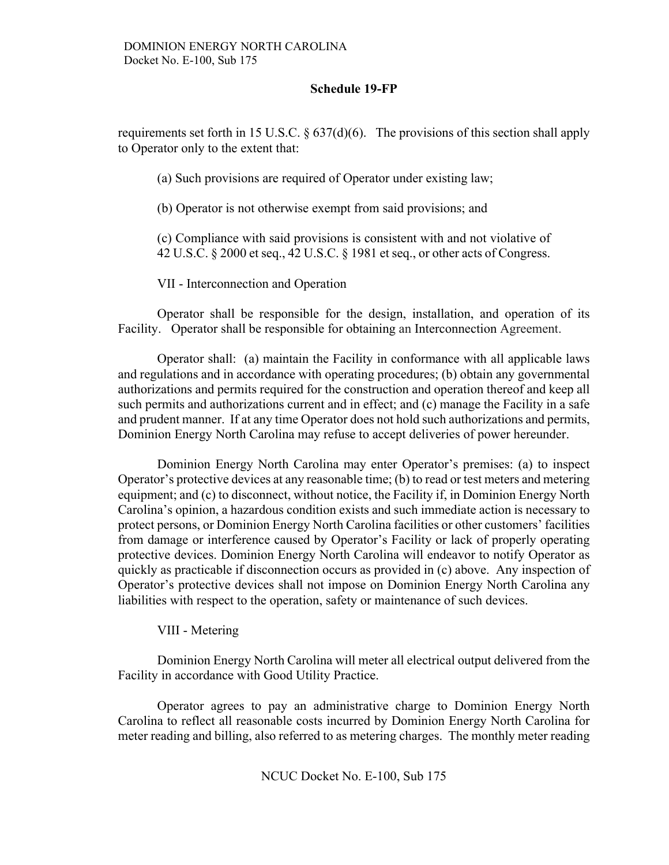requirements set forth in 15 U.S.C.  $\S 637(d)(6)$ . The provisions of this section shall apply to Operator only to the extent that:

(a) Such provisions are required of Operator under existing law;

(b) Operator is not otherwise exempt from said provisions; and

(c) Compliance with said provisions is consistent with and not violative of 42 U.S.C. § 2000 et seq., 42 U.S.C. § 1981 et seq., or other acts of Congress.

VII - Interconnection and Operation

Operator shall be responsible for the design, installation, and operation of its Facility. Operator shall be responsible for obtaining an Interconnection Agreement.

Operator shall: (a) maintain the Facility in conformance with all applicable laws and regulations and in accordance with operating procedures; (b) obtain any governmental authorizations and permits required for the construction and operation thereof and keep all such permits and authorizations current and in effect; and (c) manage the Facility in a safe and prudent manner. If at any time Operator does not hold such authorizations and permits, Dominion Energy North Carolina may refuse to accept deliveries of power hereunder.

Dominion Energy North Carolina may enter Operator's premises: (a) to inspect Operator's protective devices at any reasonable time; (b) to read or test meters and metering equipment; and (c) to disconnect, without notice, the Facility if, in Dominion Energy North Carolina's opinion, a hazardous condition exists and such immediate action is necessary to protect persons, or Dominion Energy North Carolina facilities or other customers' facilities from damage or interference caused by Operator's Facility or lack of properly operating protective devices. Dominion Energy North Carolina will endeavor to notify Operator as quickly as practicable if disconnection occurs as provided in (c) above. Any inspection of Operator's protective devices shall not impose on Dominion Energy North Carolina any liabilities with respect to the operation, safety or maintenance of such devices.

# VIII - Metering

Dominion Energy North Carolina will meter all electrical output delivered from the Facility in accordance with Good Utility Practice.

Operator agrees to pay an administrative charge to Dominion Energy North Carolina to reflect all reasonable costs incurred by Dominion Energy North Carolina for meter reading and billing, also referred to as metering charges. The monthly meter reading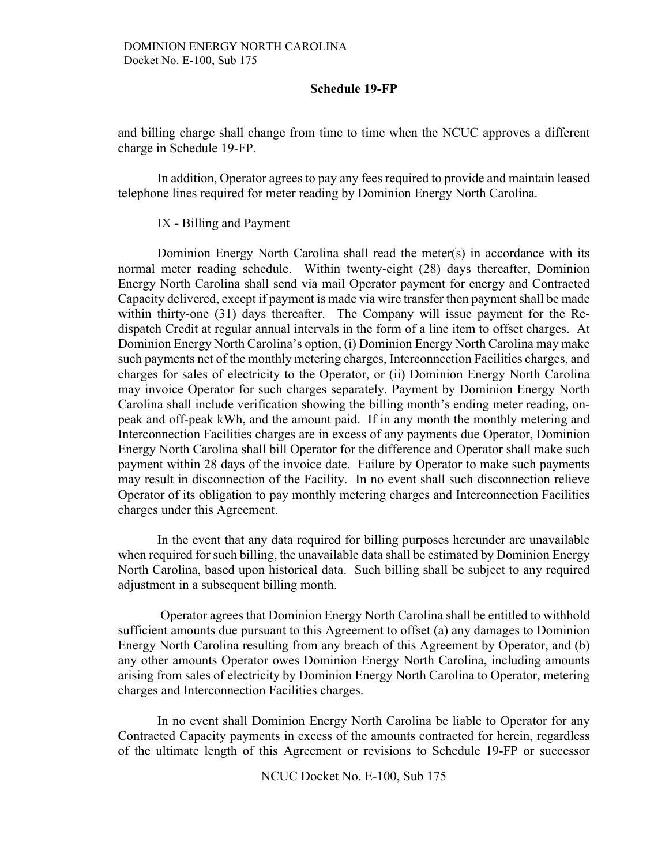and billing charge shall change from time to time when the NCUC approves a different charge in Schedule 19-FP.

In addition, Operator agrees to pay any fees required to provide and maintain leased telephone lines required for meter reading by Dominion Energy North Carolina.

#### IX **-** Billing and Payment

Dominion Energy North Carolina shall read the meter(s) in accordance with its normal meter reading schedule. Within twenty-eight (28) days thereafter, Dominion Energy North Carolina shall send via mail Operator payment for energy and Contracted Capacity delivered, except if payment is made via wire transfer then payment shall be made within thirty-one (31) days thereafter. The Company will issue payment for the Redispatch Credit at regular annual intervals in the form of a line item to offset charges. At Dominion Energy North Carolina's option, (i) Dominion Energy North Carolina may make such payments net of the monthly metering charges, Interconnection Facilities charges, and charges for sales of electricity to the Operator, or (ii) Dominion Energy North Carolina may invoice Operator for such charges separately. Payment by Dominion Energy North Carolina shall include verification showing the billing month's ending meter reading, onpeak and off-peak kWh, and the amount paid. If in any month the monthly metering and Interconnection Facilities charges are in excess of any payments due Operator, Dominion Energy North Carolina shall bill Operator for the difference and Operator shall make such payment within 28 days of the invoice date. Failure by Operator to make such payments may result in disconnection of the Facility. In no event shall such disconnection relieve Operator of its obligation to pay monthly metering charges and Interconnection Facilities charges under this Agreement.

In the event that any data required for billing purposes hereunder are unavailable when required for such billing, the unavailable data shall be estimated by Dominion Energy North Carolina, based upon historical data. Such billing shall be subject to any required adjustment in a subsequent billing month.

Operator agrees that Dominion Energy North Carolina shall be entitled to withhold sufficient amounts due pursuant to this Agreement to offset (a) any damages to Dominion Energy North Carolina resulting from any breach of this Agreement by Operator, and (b) any other amounts Operator owes Dominion Energy North Carolina, including amounts arising from sales of electricity by Dominion Energy North Carolina to Operator, metering charges and Interconnection Facilities charges.

In no event shall Dominion Energy North Carolina be liable to Operator for any Contracted Capacity payments in excess of the amounts contracted for herein, regardless of the ultimate length of this Agreement or revisions to Schedule 19-FP or successor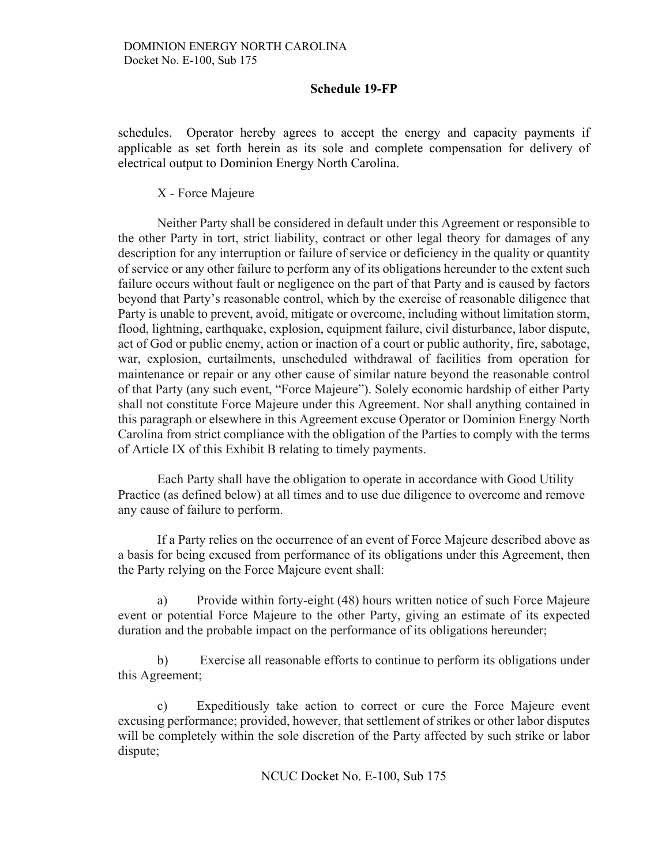schedules. Operator hereby agrees to accept the energy and capacity payments if applicable as set forth herein as its sole and complete compensation for delivery of electrical output to Dominion Energy North Carolina.

X - Force Majeure

Neither Party shall be considered in default under this Agreement or responsible to the other Party in tort, strict liability, contract or other legal theory for damages of any description for any interruption or failure of service or deficiency in the quality or quantity of service or any other failure to perform any of its obligations hereunder to the extent such failure occurs without fault or negligence on the part of that Party and is caused by factors beyond that Party's reasonable control, which by the exercise of reasonable diligence that Party is unable to prevent, avoid, mitigate or overcome, including without limitation storm, flood, lightning, earthquake, explosion, equipment failure, civil disturbance, labor dispute, act of God or public enemy, action or inaction of a court or public authority, fire, sabotage, war, explosion, curtailments, unscheduled withdrawal of facilities from operation for maintenance or repair or any other cause of similar nature beyond the reasonable control of that Party (any such event, "Force Majeure"). Solely economic hardship of either Party shall not constitute Force Majeure under this Agreement. Nor shall anything contained in this paragraph or elsewhere in this Agreement excuse Operator or Dominion Energy North Carolina from strict compliance with the obligation of the Parties to comply with the terms of Article IX of this Exhibit B relating to timely payments.

Each Party shall have the obligation to operate in accordance with Good Utility Practice (as defined below) at all times and to use due diligence to overcome and remove any cause of failure to perform.

If a Party relies on the occurrence of an event of Force Majeure described above as a basis for being excused from performance of its obligations under this Agreement, then the Party relying on the Force Majeure event shall:

a) Provide within forty-eight (48) hours written notice of such Force Majeure event or potential Force Majeure to the other Party, giving an estimate of its expected duration and the probable impact on the performance of its obligations hereunder;

b) Exercise all reasonable efforts to continue to perform its obligations under this Agreement;

c) Expeditiously take action to correct or cure the Force Majeure event excusing performance; provided, however, that settlement of strikes or other labor disputes will be completely within the sole discretion of the Party affected by such strike or labor dispute;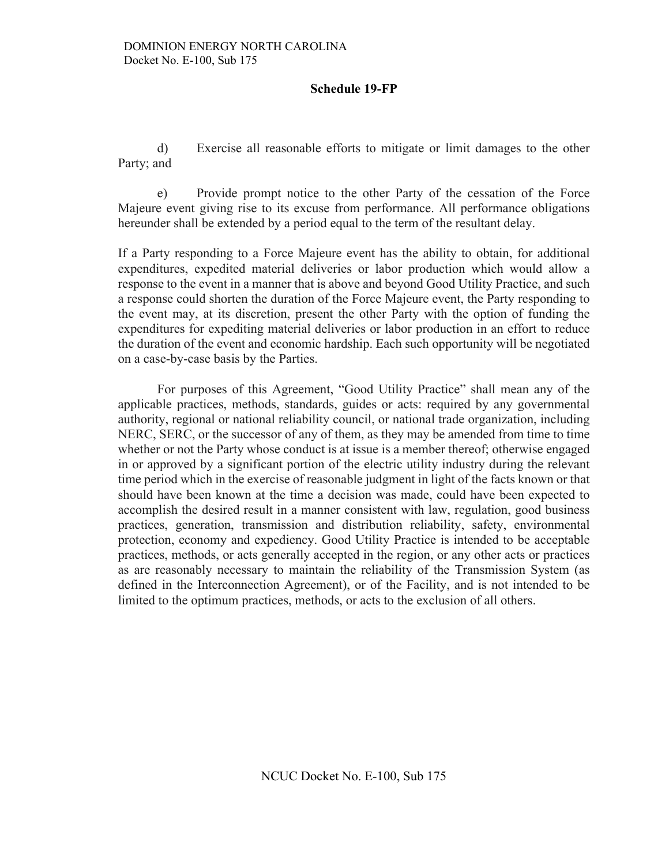d) Exercise all reasonable efforts to mitigate or limit damages to the other Party; and

e) Provide prompt notice to the other Party of the cessation of the Force Majeure event giving rise to its excuse from performance. All performance obligations hereunder shall be extended by a period equal to the term of the resultant delay.

If a Party responding to a Force Majeure event has the ability to obtain, for additional expenditures, expedited material deliveries or labor production which would allow a response to the event in a manner that is above and beyond Good Utility Practice, and such a response could shorten the duration of the Force Majeure event, the Party responding to the event may, at its discretion, present the other Party with the option of funding the expenditures for expediting material deliveries or labor production in an effort to reduce the duration of the event and economic hardship. Each such opportunity will be negotiated on a case-by-case basis by the Parties.

For purposes of this Agreement, "Good Utility Practice" shall mean any of the applicable practices, methods, standards, guides or acts: required by any governmental authority, regional or national reliability council, or national trade organization, including NERC, SERC, or the successor of any of them, as they may be amended from time to time whether or not the Party whose conduct is at issue is a member thereof; otherwise engaged in or approved by a significant portion of the electric utility industry during the relevant time period which in the exercise of reasonable judgment in light of the facts known or that should have been known at the time a decision was made, could have been expected to accomplish the desired result in a manner consistent with law, regulation, good business practices, generation, transmission and distribution reliability, safety, environmental protection, economy and expediency. Good Utility Practice is intended to be acceptable practices, methods, or acts generally accepted in the region, or any other acts or practices as are reasonably necessary to maintain the reliability of the Transmission System (as defined in the Interconnection Agreement), or of the Facility, and is not intended to be limited to the optimum practices, methods, or acts to the exclusion of all others.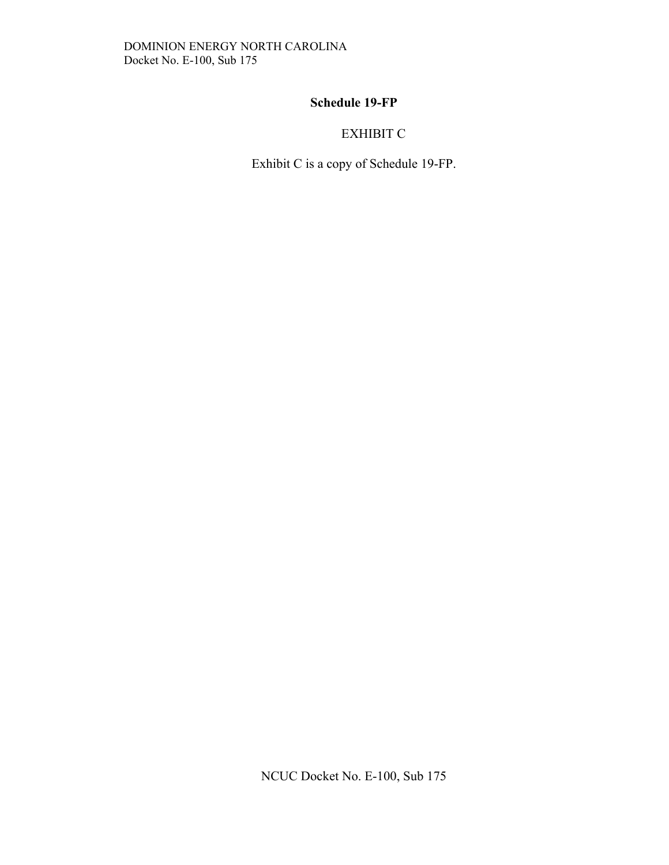# EXHIBIT C

Exhibit C is a copy of Schedule 19-FP.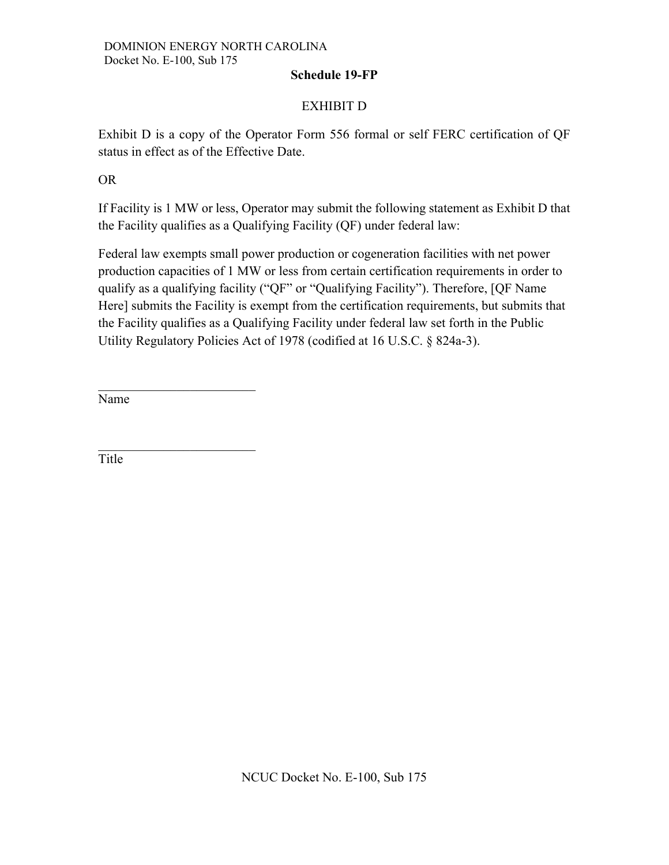# EXHIBIT D

Exhibit D is a copy of the Operator Form 556 formal or self FERC certification of QF status in effect as of the Effective Date.

OR

If Facility is 1 MW or less, Operator may submit the following statement as Exhibit D that the Facility qualifies as a Qualifying Facility (QF) under federal law:

Federal law exempts small power production or cogeneration facilities with net power production capacities of 1 MW or less from certain certification requirements in order to qualify as a qualifying facility ("QF" or "Qualifying Facility"). Therefore, [QF Name Here] submits the Facility is exempt from the certification requirements, but submits that the Facility qualifies as a Qualifying Facility under federal law set forth in the Public Utility Regulatory Policies Act of 1978 (codified at 16 U.S.C. § 824a-3).

Name

\_\_\_\_\_\_\_\_\_\_\_\_\_\_\_\_\_\_\_\_\_\_\_\_

Title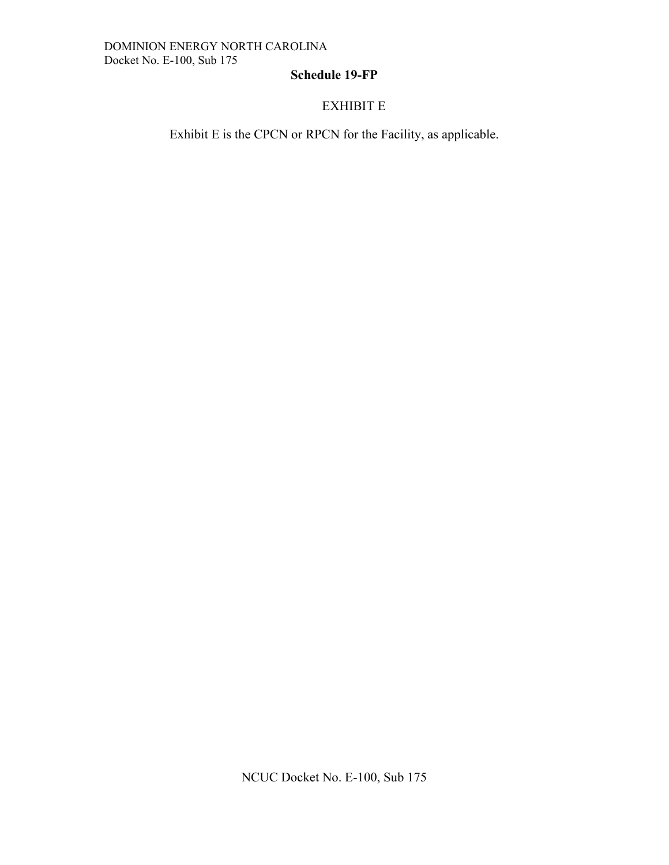# EXHIBIT E

Exhibit E is the CPCN or RPCN for the Facility, as applicable.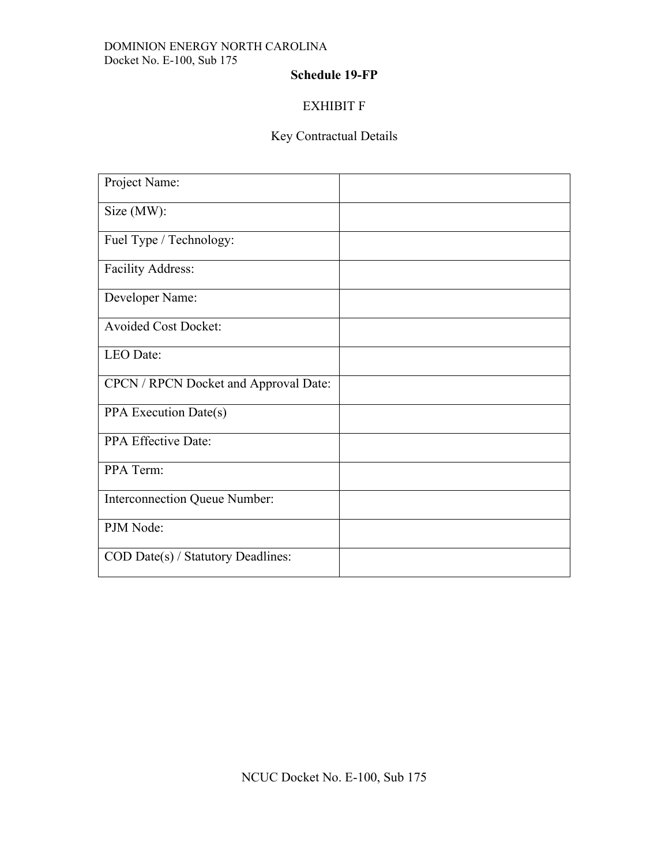## DOMINION ENERGY NORTH CAROLINA Docket No. E-100, Sub 175

# **Schedule 19-FP**

# EXHIBIT F

# Key Contractual Details

| Project Name:                         |  |
|---------------------------------------|--|
| Size (MW):                            |  |
| Fuel Type / Technology:               |  |
| <b>Facility Address:</b>              |  |
| Developer Name:                       |  |
| <b>Avoided Cost Docket:</b>           |  |
| LEO Date:                             |  |
| CPCN / RPCN Docket and Approval Date: |  |
| PPA Execution Date(s)                 |  |
| PPA Effective Date:                   |  |
| PPA Term:                             |  |
| Interconnection Queue Number:         |  |
| PJM Node:                             |  |
| COD Date(s) / Statutory Deadlines:    |  |